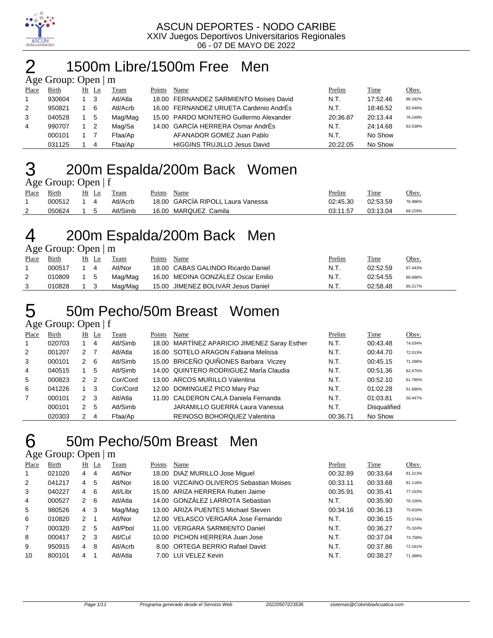

## 1500m Libre/1500m Free Men

| Age Group: Open   m |  |
|---------------------|--|
|                     |  |

| Place | Birth  | Ht Ln | Team     | Points | Name                                    | Prelim   | Time     | Obsv.   |
|-------|--------|-------|----------|--------|-----------------------------------------|----------|----------|---------|
|       | 930604 | - 3   | Atl/Atla |        | 18.00 FERNANDEZ SARMIENTO Moises David  | N.T.     | 17:52.46 | 86.182% |
| 2     | 950821 | - 6   | Atl/Acrb |        | 16.00 FERNANDEZ URUETA Cardenio AndrÉs  | N.T.     | 18:46.52 | 82.046% |
| 3     | 040528 | 5     | Mag/Mag  |        | 15.00 PARDO MONTERO Guillermo Alexander | 20:36.87 | 20:13.44 | 76.169% |
| 4     | 990707 |       | Mag/Sa   |        | 14.00 GARCÍA HERRERA Osmar AndrÉs       | N.T.     | 24:14.68 | 63.538% |
|       | 000101 |       | Ffaa/Ap  |        | AFANADOR GOMEZ Juan Pablo               | N.T.     | No Show  |         |
|       | 031125 | 4     | Ffaa/Ap  |        | <b>HIGGINS TRUJILLO Jesus David</b>     | 20:22.05 | No Show  |         |

# 200m Espalda/200m Back Women

| Age Group: Open   f |  |
|---------------------|--|
|                     |  |

| -     |        |    |          |        |                                   |          |          |         |
|-------|--------|----|----------|--------|-----------------------------------|----------|----------|---------|
| Place | Birth  | Ln | Team     | Points | Name                              | Prelim   | Time     | Obsv.   |
|       | 000512 |    | Atl/Acrb |        | 18.00 GARCIA RIPOLL Laura Vanessa | 02:45.30 | 02:53.59 | 76.986% |
| ▵     | 050624 |    | Atl/Simb |        | 16.00 MARQUEZ Camila              | 03:11.57 | 03:13.04 | 69.229% |
|       |        |    |          |        |                                   |          |          |         |

# 4 200m Espalda/200m Back Men

Age Group: Open | m

| Place | Birth  | Ht  | Ln | Team    | Points | Name                               | Prelim | Time     | Obsv.   |
|-------|--------|-----|----|---------|--------|------------------------------------|--------|----------|---------|
|       | 000517 |     |    | Atl/Nor |        | 18.00 CABAS GALINDO Ricardo Daniel | N.T.   | 02:52.59 | 67.443% |
|       | 010809 | 1 5 |    | Mag/Mag |        | 16.00 MEDINA GONZALEZ Oscar Emilio | N.T.   | 02:54.55 | 66.686% |
|       | 010828 |     |    | Mag/Mag |        | 15.00 JIMENEZ BOLIVAR Jesus Daniel | N.T.   | 02:58.48 | 65.217% |

50m Pecho/50m Breast Women

### Age Group: Open | f

| Place          | Birth  | Ht            | Ln             | Team     | Points | Name                                         | Prelim   | <b>Time</b>         | Obsv.   |
|----------------|--------|---------------|----------------|----------|--------|----------------------------------------------|----------|---------------------|---------|
|                | 020703 |               | 4              | Atl/Simb |        | 18.00 MARTÍNEZ APARICIO JIMENEZ Saray Esther | N.T.     | 00:43.48            | 74.034% |
| $\overline{2}$ | 001207 | 2             |                | Atl/Atla |        | 16.00 SOTELO ARAGON Fabiana Melissa          | N.T.     | 00:44.70            | 72.013% |
| 3              | 000101 | $\mathcal{P}$ | -6             | Atl/Simb |        | 15.00 BRICEÑO QUIÑONES Barbara Viczey        | N.T.     | 00:45.15            | 71.296% |
| 4              | 040515 |               | 5              | Atl/Simb |        | 14.00 QUINTERO RODRIGUEZ MarÍa Claudia       | N.T.     | 00:51.36            | 62.675% |
| 5              | 000823 | $\mathcal{P}$ | $\overline{2}$ | Cor/Cord |        | 13.00 ARCOS MURILLO Valentina                | N.T.     | 00:52.10            | 61.785% |
| 6              | 041226 |               | 3              | Cor/Cord |        | 12.00 DOMINGUEZ PICO Mary Paz                | N.T.     | 01:02.28            | 51.686% |
| $\overline{7}$ | 000101 | $\mathcal{P}$ | 3              | Atl/Atla |        | 11.00 CALDERON CALA Daniela Fernanda         | N.T.     | 01:03.81            | 50.447% |
|                | 000101 | $\mathcal{P}$ | 5              | Atl/Simb |        | <b>JARAMILLO GUERRA Laura Vanessa</b>        | N.T.     | <b>Disqualified</b> |         |
|                | 020303 | $\mathcal{P}$ | 4              | Ffaa/Ap  |        | REINOSO BOHORQUEZ Valentina                  | 00:36.71 | No Show             |         |

50m Pecho/50m Breast Men

| Place | Birth  | $Ht$ Ln        |    | Team     | Points | Name                                     | Prelim   | Time     | Obsv.   |
|-------|--------|----------------|----|----------|--------|------------------------------------------|----------|----------|---------|
| 1     | 021020 | 4              | 4  | Atl/Nor  |        | 18.00 DIAZ MURILLO Jose Miguel           | 00:32.89 | 00:33.64 | 81.213% |
| 2     | 041217 | $\overline{4}$ | 5  | Atl/Nor  |        | 16.00 VIZCAINO OLIVEROS Sebastian Moises | 00:33.11 | 00:33.68 | 81.116% |
| 3     | 040227 | 4              | 6  | Atl/Libr |        | 15.00 ARIZA HERRERA Ruben Jaime          | 00:35.91 | 00:35.41 | 77.153% |
| 4     | 000527 | $\mathcal{P}$  | 6  | Atl/Atla |        | 14.00 GONZÁLEZ LARROTA Sebastian         | N.T.     | 00:35.90 | 76.100% |
| 5     | 980526 | $4 \quad 3$    |    | Mag/Mag  |        | 13.00 ARIZA PUENTES Michael Steven       | 00:34.16 | 00:36.13 | 75.616% |
| 6     | 010820 | $\mathcal{P}$  |    | Atl/Nor  |        | 12.00 VELASCO VERGARA Jose Fernando      | N.T.     | 00:36.15 | 75.574% |
| 7     | 000320 | $\mathcal{P}$  | 5  | Atl/Pbol |        | 11.00 VERGARA SARMIENTO Daniel           | N.T.     | 00:36.27 | 75.324% |
| 8     | 000417 | 2 <sub>3</sub> |    | Atl/Cul  |        | 10.00 PICHON HERRERA Juan Jose           | N.T.     | 00:37.04 | 73.758% |
| 9     | 950915 | $\overline{4}$ | -8 | Atl/Acrb |        | 8.00 ORTEGA BERRIO Rafael David          | N.T.     | 00:37.86 | 72.161% |
| 10    | 800101 | 4              |    | Atl/Atla |        | 7.00 LUI VELEZ Kevin                     | N.T.     | 00:38.27 | 71.388% |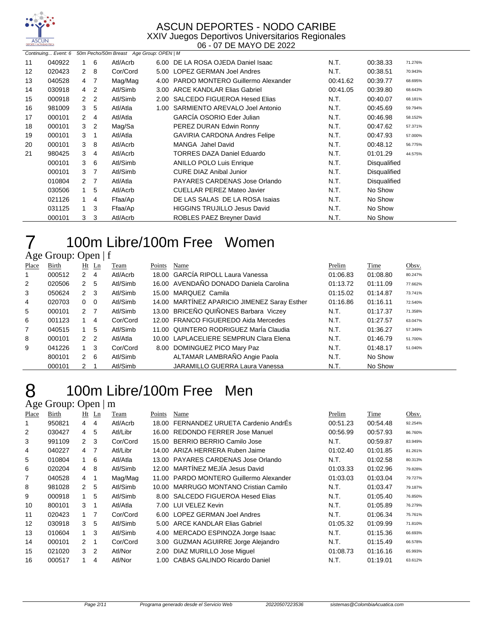

#### ASCUN DEPORTES - NODO CARIBE XXIV Juegos Deportivos Universitarios Regionales

06 - 07 DE MAYO DE 2022

|    | Continuing Event: 6 |                      |                | 50m Pecho/50m Breast Age Group: OPEN   M |      |                                        |          |                     |         |
|----|---------------------|----------------------|----------------|------------------------------------------|------|----------------------------------------|----------|---------------------|---------|
| 11 | 040922              |                      | 6              | Atl/Acrb                                 |      | 6.00 DE LA ROSA OJEDA Daniel Isaac     | N.T.     | 00:38.33            | 71.276% |
| 12 | 020423              | $\mathbf{2}^{\circ}$ | -8             | Cor/Cord                                 |      | 5.00 LOPEZ GERMAN Joel Andres          | N.T.     | 00:38.51            | 70.943% |
| 13 | 040528              | 4                    | -7             | Mag/Mag                                  |      | 4.00 PARDO MONTERO Guillermo Alexander | 00:41.62 | 00:39.77            | 68.695% |
| 14 | 030918              | 4                    | 2              | Atl/Simb                                 | 3.00 | ARCE KANDLAR Elias Gabriel             | 00:41.05 | 00:39.80            | 68.643% |
| 15 | 000918              | $\mathbf{2}$         | $\overline{2}$ | Atl/Simb                                 | 2.00 | SALCEDO FIGUEROA Hesed Elias           | N.T.     | 00:40.07            | 68.181% |
| 16 | 981009              | 3                    | 5              | Atl/Atla                                 | 1.00 | SARMIENTO AREVALO Joel Antonio         | N.T.     | 00:45.69            | 59.794% |
| 17 | 000101              | $\mathbf{2}^{\circ}$ | 4              | Atl/Atla                                 |      | GARCÍA OSORIO Eder Julian              | N.T.     | 00:46.98            | 58.152% |
| 18 | 000101              | 3                    | $\overline{2}$ | Mag/Sa                                   |      | PEREZ DURAN Edwin Ronny                | N.T.     | 00:47.62            | 57.371% |
| 19 | 000101              | 3                    |                | Atl/Atla                                 |      | <b>GAVIRIA CARDONA Andres Felipe</b>   | N.T.     | 00:47.93            | 57.000% |
| 20 | 000101              | 3                    | -8             | Atl/Acrb                                 |      | MANGA Jahel David                      | N.T.     | 00:48.12            | 56.775% |
| 21 | 980425              | 3                    | 4              | Atl/Acrb                                 |      | TORRES DAZA Daniel Eduardo             | N.T.     | 01:01.29            | 44.575% |
|    | 000101              | 3                    | -6             | Atl/Simb                                 |      | <b>ANILLO POLO Luis Enrique</b>        | N.T.     | Disqualified        |         |
|    | 000101              | 3                    | 7              | Atl/Simb                                 |      | <b>CURE DIAZ Anibal Junior</b>         | N.T.     | <b>Disqualified</b> |         |
|    | 010804              | $\mathbf{2}$         | -7             | Atl/Atla                                 |      | PAYARES CARDENAS Jose Orlando          | N.T.     | <b>Disqualified</b> |         |
|    | 030506              |                      | 5              | Atl/Acrb                                 |      | <b>CUELLAR PEREZ Mateo Javier</b>      | N.T.     | No Show             |         |
|    | 021126              |                      | 4              | Ffaa/Ap                                  |      | DE LAS SALAS DE LA ROSA Isajas         | N.T.     | No Show             |         |
|    | 031125              | $\overline{1}$       | 3              | Ffaa/Ap                                  |      | <b>HIGGINS TRUJILLO Jesus David</b>    | N.T.     | No Show             |         |
|    | 000101              | 3                    | 3              | Atl/Acrb                                 |      | ROBLES PAEZ Breyner David              | N.T.     | No Show             |         |

#### 100m Libre/100m Free Women Age Group: Open | f

|                | $1.50$ ergap. open   1 |                |                |          |        |                                              |          |          |         |
|----------------|------------------------|----------------|----------------|----------|--------|----------------------------------------------|----------|----------|---------|
| Place          | Birth                  |                | $Ht$ Ln        | Team     | Points | Name                                         | Prelim   | Time     | Obsv.   |
|                | 000512                 | 2              | $\overline{4}$ | Atl/Acrb |        | 18.00 GARCÍA RIPOLL Laura Vanessa            | 01:06.83 | 01:08.80 | 80.247% |
| $\overline{2}$ | 020506                 | $\mathbf{2}$   | -5             | Atl/Simb |        | 16.00 AVENDAÑO DONADO Daniela Carolina       | 01:13.72 | 01:11.09 | 77.662% |
| 3              | 050624                 | $2 \quad 3$    |                | Atl/Simb |        | 15.00 MARQUEZ Camila                         | 01:15.02 | 01:14.87 | 73.741% |
| 4              | 020703                 | $0\quad 0$     |                | Atl/Simb |        | 14.00 MARTINEZ APARICIO JIMENEZ Saray Esther | 01:16.86 | 01:16.11 | 72.540% |
| 5              | 000101                 | 2 <sub>7</sub> |                | Atl/Simb |        | 13.00 BRICEÑO QUIÑONES Barbara Viczey        | N.T.     | 01:17.37 | 71.358% |
| 6              | 001123                 |                | 4              | Cor/Cord |        | 12.00 FRANCO FIGUEREDO Aida Mercedes         | N.T.     | 01:27.57 | 63.047% |
| $\overline{7}$ | 040515                 |                | 5              | Atl/Simb |        | 11.00 QUINTERO RODRIGUEZ María Claudia       | N.T.     | 01:36.27 | 57.349% |
| 8              | 000101                 | 2 <sub>2</sub> |                | Atl/Atla |        | 10.00 LAPLACELIERE SEMPRUN Clara Elena       | N.T.     | 01:46.79 | 51.700% |
| 9              | 041226                 |                | -3             | Cor/Cord |        | 8.00 DOMINGUEZ PICO Mary Paz                 | N.T.     | 01:48.17 | 51.040% |
|                | 800101                 | $2 \quad 6$    |                | Atl/Simb |        | ALTAMAR LAMBRAÑO Angie Paola                 | N.T.     | No Show  |         |
|                | 000101                 | 2              |                | Atl/Simb |        | JARAMILLO GUERRA Laura Vanessa               | N.T.     | No Show  |         |

## 100m Libre/100m Free Men

| Place | Birth  |                | Ht Ln          | Team     | Points | Name                                   | Prelim   | Time     | Obsv.   |
|-------|--------|----------------|----------------|----------|--------|----------------------------------------|----------|----------|---------|
| 1     | 950821 | $\overline{4}$ | 4              | Atl/Acrb |        | 18.00 FERNANDEZ URUETA Cardenio AndrEs | 00:51.23 | 00:54.48 | 92.254% |
| 2     | 030427 | $\overline{4}$ | 5              | Atl/Libr |        | 16.00 REDONDO FERRER Jose Manuel       | 00:56.99 | 00:57.93 | 86.760% |
| 3     | 991109 | $\mathcal{P}$  | 3              | Cor/Cord |        | 15.00 BERRIO BERRIO Camilo Jose        | N.T.     | 00:59.87 | 83.949% |
| 4     | 040227 | $\overline{4}$ | $\overline{7}$ | Atl/Libr |        | 14.00 ARIZA HERRERA Ruben Jaime        | 01:02.40 | 01:01.85 | 81.261% |
| 5     | 010804 | 1              | 6              | Atl/Atla |        | 13.00 PAYARES CARDENAS Jose Orlando    | N.T.     | 01:02.58 | 80.313% |
| 6     | 020204 | $\overline{4}$ | 8              | Atl/Simb |        | 12.00 MARTÍNEZ MEJÍA Jesus David       | 01:03.33 | 01:02.96 | 79.828% |
| 7     | 040528 | 4              | 1              | Mag/Mag  | 11.00  | PARDO MONTERO Guillermo Alexander      | 01:03.03 | 01:03.04 | 79.727% |
| 8     | 981028 | $\mathcal{P}$  | 5              | Atl/Simb | 10.00  | MARRUGO MONTANO Cristian Camilo        | N.T.     | 01:03.47 | 79.187% |
| 9     | 000918 | $\mathbf{1}$   | 5              | Atl/Simb |        | 8.00 SALCEDO FIGUEROA Hesed Elias      | N.T.     | 01:05.40 | 76.850% |
| 10    | 800101 | 3              | 1              | Atl/Atla |        | 7.00 LUI VELEZ Kevin                   | N.T.     | 01:05.89 | 76.279% |
| 11    | 020423 | $\overline{1}$ | 7              | Cor/Cord |        | 6.00 LOPEZ GERMAN Joel Andres          | N.T.     | 01:06.34 | 75.761% |
| 12    | 030918 | 3              | 5              | Atl/Simb |        | 5.00 ARCE KANDLAR Elias Gabriel        | 01:05.32 | 01:09.99 | 71.810% |
| 13    | 010604 | $\overline{1}$ | 3              | Atl/Simb | 4.00   | MERCADO ESPINOZA Jorge Isaac           | N.T.     | 01:15.36 | 66.693% |
| 14    | 000101 | $\mathcal{P}$  | 1              | Cor/Cord |        | 3.00 GUZMAN AGUIRRE Jorge Alejandro    | N.T.     | 01:15.49 | 66.578% |
| 15    | 021020 | $\mathcal{R}$  | $\overline{2}$ | Atl/Nor  |        | 2.00 DIAZ MURILLO Jose Miguel          | 01:08.73 | 01:16.16 | 65.993% |
| 16    | 000517 |                | 4              | Atl/Nor  |        | 1.00 CABAS GALINDO Ricardo Daniel      | N.T.     | 01:19.01 | 63.612% |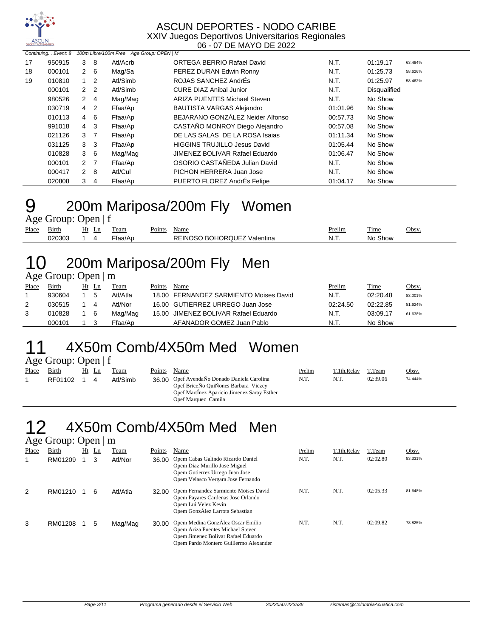

|    | Continuing Event: 8 |                |                | 100m Libre/100m Free Age Group: OPEN   M |                                     |          |                     |         |
|----|---------------------|----------------|----------------|------------------------------------------|-------------------------------------|----------|---------------------|---------|
| 17 | 950915              | 3              | -8             | Atl/Acrb                                 | ORTEGA BERRIO Rafael David          | N.T.     | 01:19.17            | 63.484% |
| 18 | 000101              | $2\quad 6$     |                | Mag/Sa                                   | PEREZ DURAN Edwin Ronny             | N.T.     | 01:25.73            | 58.626% |
| 19 | 010810              | $\mathbf{1}$   | 2              | Atl/Simb                                 | ROJAS SANCHEZ AndrÉs                | N.T.     | 01:25.97            | 58.462% |
|    | 000101              | 2 <sub>2</sub> |                | Atl/Simb                                 | <b>CURE DIAZ Anibal Junior</b>      | N.T.     | <b>Disqualified</b> |         |
|    | 980526              | $2 \quad 4$    |                | Mag/Mag                                  | <b>ARIZA PUENTES Michael Steven</b> | N.T.     | No Show             |         |
|    | 030719              | 4              | $\overline{2}$ | Ffaa/Ap                                  | <b>BAUTISTA VARGAS Alejandro</b>    | 01:01.96 | No Show             |         |
|    | 010113              | $\overline{4}$ | 6              | Ffaa/Ap                                  | BEJARANO GONZÁLEZ Neider Alfonso    | 00:57.73 | No Show             |         |
|    | 991018              | $4 \quad 3$    |                | Ffaa/Ap                                  | CASTAÑO MONROY Diego Alejandro      | 00:57.08 | No Show             |         |
|    | 021126              | 3 <sub>7</sub> |                | Ffaa/Ap                                  | DE LAS SALAS DE LA ROSA Isajas      | 01:11.34 | No Show             |         |
|    | 031125              | 3 <sub>3</sub> |                | Ffaa/Ap                                  | <b>HIGGINS TRUJILLO Jesus David</b> | 01:05.44 | No Show             |         |
|    | 010828              | $3\quad 6$     |                | Mag/Mag                                  | JIMENEZ BOLIVAR Rafael Eduardo      | 01:06.47 | No Show             |         |
|    | 000101              | 2 <sub>7</sub> |                | Ffaa/Ap                                  | OSORIO CASTAÑEDA Julian David       | N.T.     | No Show             |         |
|    | 000417              | $2 \quad 8$    |                | Atl/Cul                                  | PICHON HERRERA Juan Jose            | N.T.     | No Show             |         |
|    | 020808              | 3              | $\overline{4}$ | Ffaa/Ap                                  | PUERTO FLOREZ AndrÉs Felipe         | 01:04.17 | No Show             |         |

# 9 200m Mariposa/200m Fly Women

Age Group: Open | f

| Place | $-$ .<br>Birth | Ht | Ln | eam    | $\sim$ $\sim$<br>Points | Name                                 | Prelim | $\overline{\phantom{a}}$<br>Time | Obsv. |
|-------|----------------|----|----|--------|-------------------------|--------------------------------------|--------|----------------------------------|-------|
|       | 020303         |    |    | taa/Ar |                         | REINOS<br>J BOHOROUEZ V<br>Valentina | N<br>. | Show<br>Nο                       |       |

# 10 200m Mariposa/200m Fly Men

Age Group: Open | m

| Place | Birth  | Ht | Ln  | Team     | Points | Name                                   | Prelim   | Time     | <u>Obsv.</u> |
|-------|--------|----|-----|----------|--------|----------------------------------------|----------|----------|--------------|
|       | 930604 |    | 5   | Atl/Atla |        | 18.00 FERNANDEZ SARMIENTO Moises David | N.T.     | 02:20.48 | 83.001%      |
| 2     | 030515 |    | 4   | Atl/Nor  |        | 16.00 GUTIERREZ URREGO Juan Jose       | 02:24.50 | 02:22.85 | 81.624%      |
| 3     | 010828 |    | - 6 | Mag/Mag  |        | 15.00 JIMENEZ BOLIVAR Rafael Eduardo   | N.T.     | 03:09.17 | 61.638%      |
|       | 000101 |    |     | Ffaa/Ap  |        | AFANADOR GOMEZ Juan Pablo              | N.T.     | No Show  |              |

# 11 4X50m Comb/4X50m Med Women

Age Group: Open | f<br>Place Birth Ht Ln

| --    |         |       |          |        |                                             |        |             |          |         |
|-------|---------|-------|----------|--------|---------------------------------------------|--------|-------------|----------|---------|
| Place | Birth   | Ht Ln | Team     | Points | Name                                        | Prelim | T.1th.Relav | T.Team   | Obsv.   |
|       | RF01102 |       | Atl/Simb |        | 36.00 Opef AvendaÑo Donado Daniela Carolina | N.T.   | N.T.        | 02:39.06 | 74.444% |
|       |         |       |          |        | Opef BriceÑo QuiÑones Barbara Viczey        |        |             |          |         |
|       |         |       |          |        | Opef Martinez Aparicio Jimenez Saray Esther |        |             |          |         |
|       |         |       |          |        | Opef Marquez Camila                         |        |             |          |         |

#### 12 4X50m Comb/4X50m Med Men Age Group: Open | m

|       | $1.50$ order. open   m |    |    |          |        |                                                                                                                                                         |        |             |          |         |
|-------|------------------------|----|----|----------|--------|---------------------------------------------------------------------------------------------------------------------------------------------------------|--------|-------------|----------|---------|
| Place | Birth                  | Ht | Ln | Team     | Points | Name                                                                                                                                                    | Prelim | T.1th.Relay | T.Team   | Obsv.   |
|       | RM01209                |    | 3  | Atl/Nor  | 36.00  | Opem Cabas Galindo Ricardo Daniel<br>Opem Diaz Murillo Jose Miguel<br>Opem Gutierrez Urrego Juan Jose<br>Opem Velasco Vergara Jose Fernando             | N.T.   | N.T.        | 02:02.80 | 83.331% |
| 2     | RM01210                |    | 6  | Atl/Atla | 32.00  | Opem Fernandez Sarmiento Moises David<br>Opem Payares Cardenas Jose Orlando<br>Opem Lui Velez Kevin<br>Opem GonzÁlez Larrota Sebastian                  | N.T.   | N.T.        | 02:05.33 | 81.648% |
| 3     | RM01208                |    | 5  | Mag/Mag  | 30.00  | Opem Medina GonzÁlez Oscar Emilio<br>Opem Ariza Puentes Michael Steven<br>Opem Jimenez Bolivar Rafael Eduardo<br>Opem Pardo Montero Guillermo Alexander | N.T.   | N.T.        | 02:09.82 | 78.825% |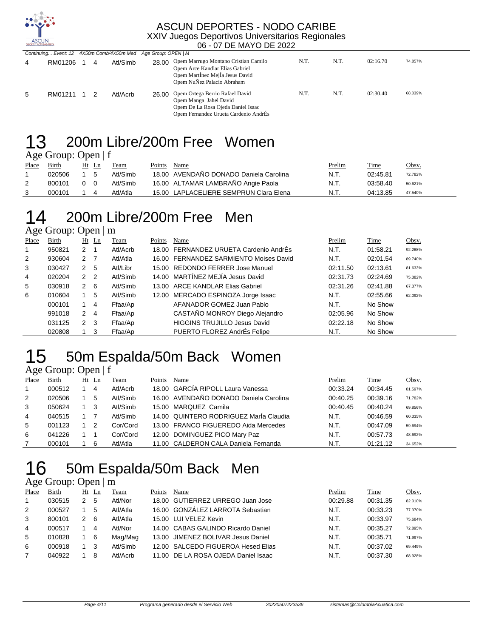

| Continuing Event: 12 4X50m Comb/4X50m Med |           |   |          | Age Group: OPEN   M |                                                                                                                                                |      |      |          |         |  |
|-------------------------------------------|-----------|---|----------|---------------------|------------------------------------------------------------------------------------------------------------------------------------------------|------|------|----------|---------|--|
| 4                                         | RM01206   | 4 | Atl/Simb |                     | 28.00 Opem Marrugo Montano Cristian Camilo<br>Opem Arce Kandlar Elias Gabriel<br>Opem Martinez Mejia Jesus David<br>Opem NuÑez Palacio Abraham | N.T. | N.T. | 02:16.70 | 74.857% |  |
| 5                                         | RM01211 1 |   | Atl/Acrb |                     | 26.00 Opem Ortega Berrio Rafael David<br>Opem Manga Jahel David<br>Opem De La Rosa Ojeda Daniel Isaac<br>Opem Fernandez Urueta Cardenio AndrÉs | N.T. | N.T. | 02:30.40 | 68.039% |  |

### 200m Libre/200m Free Women

Age Group: Open | f

| Place | Birth  | Ht       | Ln  | Team     | Points | Name                                   | <u>Prelim</u> | Time     | Obsv.   |
|-------|--------|----------|-----|----------|--------|----------------------------------------|---------------|----------|---------|
|       | 020506 |          |     | Atl/Simb |        | 18.00 AVENDAÑO DONADO Daniela Carolina | N.T.          | 02:45.81 | 72.782% |
| 2     | 800101 | $\Omega$ | - റ | Atl/Simb |        | 16.00 ALTAMAR LAMBRAÑO Angie Paola     | N.T.          | 03:58.40 | 50.621% |
|       | 000101 |          |     | Atl/Atla |        | 15.00 LAPLACELIERE SEMPRUN Clara Elena | N.T.          | 04:13.85 | 47.540% |

## 200m Libre/200m Free Men

Age Group: Open | m

| Place | Birth  |                | $Ht$ Ln        | Team     | Points | Name                                   | Prelim   | Time     | Obsv.   |
|-------|--------|----------------|----------------|----------|--------|----------------------------------------|----------|----------|---------|
| 1     | 950821 | $\overline{2}$ |                | Atl/Acrb |        | 18.00 FERNANDEZ URUETA Cardenio AndrÉs | N.T.     | 01:58.21 | 92.268% |
| 2     | 930604 | 2 <sub>7</sub> |                | Atl/Atla |        | 16.00 FERNANDEZ SARMIENTO Moises David | N.T.     | 02:01.54 | 89.740% |
| 3     | 030427 | $\overline{2}$ | -5             | Atl/Libr |        | 15.00 REDONDO FERRER Jose Manuel       | 02:11.50 | 02:13.61 | 81.633% |
| 4     | 020204 | 2 <sub>2</sub> |                | Atl/Simb |        | 14.00 MARTÍNEZ MEJÍA Jesus David       | 02:31.73 | 02:24.69 | 75.382% |
| 5     | 030918 | 2              | - 6            | Atl/Simb |        | 13.00 ARCE KANDLAR Elias Gabriel       | 02:31.26 | 02:41.88 | 67.377% |
| 6     | 010604 |                | 5              | Atl/Simb |        | 12.00 MERCADO ESPINOZA Jorge Isaac     | N.T.     | 02:55.66 | 62.092% |
|       | 000101 |                | 4              | Ffaa/Ap  |        | AFANADOR GOMEZ Juan Pablo              | N.T.     | No Show  |         |
|       | 991018 | 2              | $\overline{4}$ | Ffaa/Ap  |        | CASTAÑO MONROY Diego Alejandro         | 02:05.96 | No Show  |         |
|       | 031125 | $\overline{2}$ | -3             | Ffaa/Ap  |        | <b>HIGGINS TRUJILLO Jesus David</b>    | 02:22.18 | No Show  |         |
|       | 020808 |                | -3             | Ffaa/Ap  |        | PUERTO FLOREZ AndrÉs Felipe            | N.T.     | No Show  |         |

#### 15 50m Espalda/50m Back Women Age Group: Open | f

| Place | Birth  | Ht Ln | Team     | Points | Name                                   | Prelim   | Time     | Obsv.   |
|-------|--------|-------|----------|--------|----------------------------------------|----------|----------|---------|
| 1     | 000512 | 4     | Atl/Acrb |        | 18.00 GARCÍA RIPOLL Laura Vanessa      | 00:33.24 | 00:34.45 | 81.597% |
| 2     | 020506 | -5    | Atl/Simb |        | 16.00 AVENDAÑO DONADO Daniela Carolina | 00:40.25 | 00:39.16 | 71.782% |
| 3     | 050624 | - 3   | Atl/Simb |        | 15.00 MARQUEZ Camila                   | 00:40.45 | 00:40.24 | 69.856% |
| 4     | 040515 |       | Atl/Simb |        | 14.00 QUINTERO RODRIGUEZ Marla Claudia | N.T.     | 00:46.59 | 60.335% |
| 5     | 001123 | 2     | Cor/Cord |        | 13.00 FRANCO FIGUEREDO Aida Mercedes   | N.T.     | 00:47.09 | 59.694% |
| 6     | 041226 |       | Cor/Cord |        | 12.00 DOMINGUEZ PICO Mary Paz          | N.T.     | 00:57.73 | 48.692% |
|       | 000101 | 6     | Atl/Atla |        | 11.00 CALDERON CALA Daniela Fernanda   | N.T.     | 01:21.12 | 34.652% |

# 50m Espalda/50m Back Men

| Place | Birth  |               | Ht Ln | Team     | Points | Name                               | Prelim   | Time     | Obsv.   |
|-------|--------|---------------|-------|----------|--------|------------------------------------|----------|----------|---------|
|       | 030515 | 2             | 5     | Atl/Nor  |        | 18.00 GUTIERREZ URREGO Juan Jose   | 00:29.88 | 00:31.35 | 82.010% |
| 2     | 000527 |               | 5     | Atl/Atla |        | 16.00 GONZÁLEZ LARROTA Sebastian   | N.T.     | 00:33.23 | 77.370% |
| 3     | 800101 | $\mathcal{P}$ | 6     | Atl/Atla |        | 15.00 LUI VELEZ Kevin              | N.T.     | 00:33.97 | 75.684% |
| 4     | 000517 |               | 4     | Atl/Nor  |        | 14.00 CABAS GALINDO Ricardo Daniel | N.T.     | 00:35.27 | 72.895% |
| 5     | 010828 |               | -6    | Mag/Mag  |        | 13.00 JIMENEZ BOLIVAR Jesus Daniel | N.T.     | 00:35.71 | 71.997% |
| 6     | 000918 |               |       | Atl/Simb |        | 12.00 SALCEDO FIGUEROA Hesed Elias | N.T.     | 00:37.02 | 69.449% |
|       | 040922 |               | 8     | Atl/Acrb | 11.00  | DE LA ROSA OJEDA Daniel Isaac      | N.T.     | 00:37.30 | 68.928% |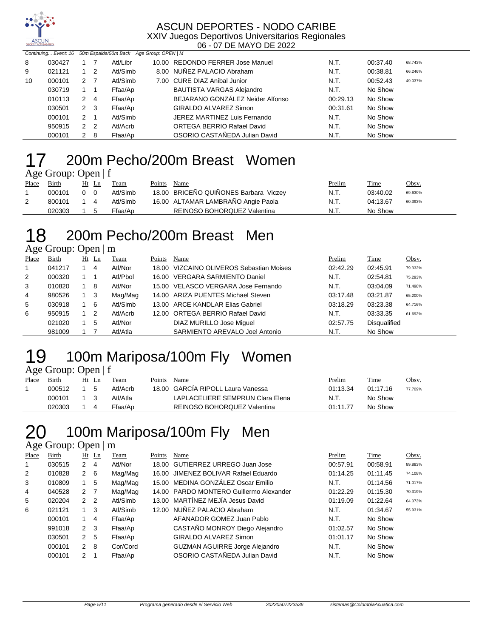

|    | Continuing Event: 16 50m Espalda/50m Back Age Group: OPEN   M |                |                |          |                                   |          |          |         |
|----|---------------------------------------------------------------|----------------|----------------|----------|-----------------------------------|----------|----------|---------|
| 8  | 030427                                                        |                |                | Atl/Libr | 10.00 REDONDO FERRER Jose Manuel  | N.T.     | 00:37.40 | 68.743% |
| 9  | 021121                                                        |                | $1\quad 2$     | Atl/Simb | 8.00 NUÑEZ PALACIO Abraham        | N.T.     | 00:38.81 | 66.246% |
| 10 | 000101                                                        | 2 <sub>7</sub> |                | Atl/Simb | 7.00 CURE DIAZ Anibal Junior      | N.T.     | 00:52.43 | 49.037% |
|    | 030719                                                        |                |                | Ffaa/Ap  | <b>BAUTISTA VARGAS Alejandro</b>  | N.T.     | No Show  |         |
|    | 010113                                                        | 2              | -4             | Ffaa/Ap  | BEJARANO GONZÁLEZ Neider Alfonso  | 00:29.13 | No Show  |         |
|    | 030501                                                        | $2 \quad 3$    |                | Ffaa/Ap  | GIRALDO ALVAREZ Simon             | 00:31.61 | No Show  |         |
|    | 000101                                                        | $\mathcal{P}$  |                | Atl/Simb | JEREZ MARTINEZ Luis Fernando      | N.T.     | No Show  |         |
|    | 950915                                                        | 2              | $\overline{2}$ | Atl/Acrb | <b>ORTEGA BERRIO Rafael David</b> | N.T.     | No Show  |         |
|    | 000101                                                        | 2              | - 8            | Ffaa/Ap  | OSORIO CASTAÑEDA Julian David     | N.T.     | No Show  |         |

#### 200m Pecho/200m Breast Women Age Group: Open | f

|       | $1.50$ order open $1$ |            |       |          |        |                                       |        |          |         |
|-------|-----------------------|------------|-------|----------|--------|---------------------------------------|--------|----------|---------|
| Place | <b>Birth</b>          |            | Ht Ln | Team     | Points | Name                                  | Prelim | Time     | Obsv.   |
|       | 000101                | $0\quad 0$ |       | Atl/Simb |        | 18.00 BRICEÑO QUIÑONES Barbara Viczey | N.T.   | 03:40.02 | 69.630% |
|       | 800101                | 14         |       | Atl/Simb |        | 16.00 ALTAMAR LAMBRAÑO Angie Paola    | N.T.   | 04:13.67 | 60.393% |
|       | 020303                |            | - 5   | Ffaa/Ap  |        | REINOSO BOHORQUEZ Valentina           | N.T.   | No Show  |         |

### 200m Pecho/200m Breast Men

Age Group: Open | m

| Place        | Birth  | $Ht$ Ln | Team     | Points | Name                                     | Prelim   | Time                | Obsv.   |
|--------------|--------|---------|----------|--------|------------------------------------------|----------|---------------------|---------|
| $\mathbf{1}$ | 041217 | 4       | Atl/Nor  |        | 18.00 VIZCAINO OLIVEROS Sebastian Moises | 02:42.29 | 02:45.91            | 79.332% |
| 2            | 000320 |         | Atl/Pbol |        | 16.00 VERGARA SARMIENTO Daniel           | N.T.     | 02:54.81            | 75.293% |
| 3            | 010820 | -8      | Atl/Nor  |        | 15.00 VELASCO VERGARA Jose Fernando      | N.T.     | 03:04.09            | 71.498% |
| 4            | 980526 | -3      | Mag/Mag  |        | 14.00 ARIZA PUENTES Michael Steven       | 03:17.48 | 03:21.87            | 65.200% |
| 5            | 030918 | 6       | Atl/Simb |        | 13.00 ARCE KANDLAR Elias Gabriel         | 03:18.29 | 03:23.38            | 64.716% |
| 6            | 950915 | -2      | Atl/Acrb |        | 12.00 ORTEGA BERRIO Rafael David         | N.T.     | 03:33.35            | 61.692% |
|              | 021020 | 5       | Atl/Nor  |        | DIAZ MURILLO Jose Miquel                 | 02:57.75 | <b>Disqualified</b> |         |
|              | 981009 |         | Atl/Atla |        | SARMIENTO AREVALO Joel Antonio           | N.T.     | No Show             |         |

### 19 100m Mariposa/100m Fly Women Age Group: Open | f

| Place | Birth      | Ht Ln | Team     | Points | Name                              | <u>Prelim</u> | Time     | Obsv.   |
|-------|------------|-------|----------|--------|-----------------------------------|---------------|----------|---------|
|       | 000512     | - 5   | Atl/Acrb |        | 18.00 GARCIA RIPOLL Laura Vanessa | 01:13.34      | 01:17.16 | 77.709% |
|       | 000101 1 3 |       | Atl/Atla |        | LAPLACELIERE SEMPRUN Clara Elena  | N.T.          | No Show  |         |
|       | 020303     |       | Ffaa/Ap  |        | REINOSO BOHORQUEZ Valentina       | 01:11.77      | No Show  |         |

## 100m Mariposa/100m Fly Men

| Place | Birth  |                | Ht Ln | Team     | Points | Name                                    | Prelim   | Time     | Obsv.   |
|-------|--------|----------------|-------|----------|--------|-----------------------------------------|----------|----------|---------|
| 1     | 030515 | $\mathcal{P}$  | 4     | Atl/Nor  | 18.00  | GUTIERREZ URREGO Juan Jose              | 00:57.91 | 00:58.91 | 89.883% |
| 2     | 010828 | 2              | 6     | Mag/Mag  |        | 16.00 JIMENEZ BOLIVAR Rafael Eduardo    | 01:14.25 | 01:11.45 | 74.108% |
| 3     | 010809 |                | 5     | Mag/Mag  |        | 15.00 MEDINA GONZÁLEZ Oscar Emilio      | N.T.     | 01:14.56 | 71.017% |
| 4     | 040528 | 2              | - 7   | Mag/Mag  |        | 14.00 PARDO MONTERO Guillermo Alexander | 01:22.29 | 01:15.30 | 70.319% |
| 5     | 020204 | 2 <sub>2</sub> |       | Atl/Simb |        | 13.00 MARTÍNEZ MEJÍA Jesus David        | 01:19.09 | 01:22.64 | 64.073% |
| 6     | 021121 | 1              | 3     | Atl/Simb |        | 12.00 NUÑEZ PALACIO Abraham             | N.T.     | 01:34.67 | 55.931% |
|       | 000101 | $\mathbf{1}$   | 4     | Ffaa/Ap  |        | AFANADOR GOMEZ Juan Pablo               | N.T.     | No Show  |         |
|       | 991018 | $2 \quad 3$    |       | Ffaa/Ap  |        | CASTAÑO MONROY Diego Alejandro          | 01:02.57 | No Show  |         |
|       | 030501 | 2              | -5    | Ffaa/Ap  |        | <b>GIRALDO ALVAREZ Simon</b>            | 01:01.17 | No Show  |         |
|       | 000101 | $\mathcal{P}$  | 8     | Cor/Cord |        | <b>GUZMAN AGUIRRE Jorge Alejandro</b>   | N.T.     | No Show  |         |
|       | 000101 | $\mathcal{P}$  |       | Ffaa/Ap  |        | OSORIO CASTAÑEDA Julian David           | N.T.     | No Show  |         |
|       |        |                |       |          |        |                                         |          |          |         |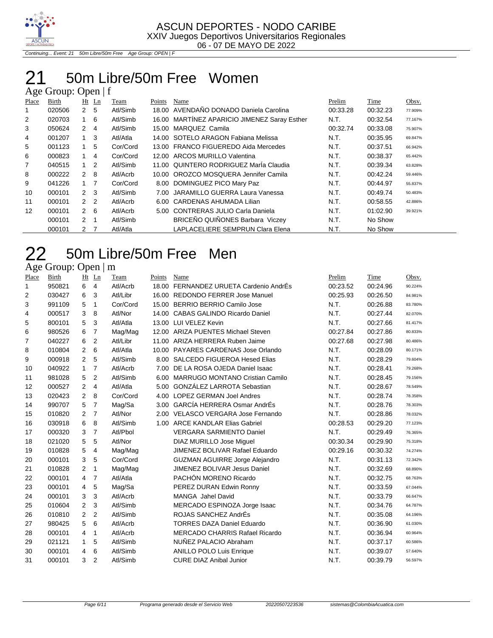

Continuing... Event: 21 50m Libre/50m Free Age Group: OPEN | F

## 21 50m Libre/50m Free Women

| Age Group: Open $ f $ |        |                      |                |          |        |                                        |          |             |         |  |  |  |  |
|-----------------------|--------|----------------------|----------------|----------|--------|----------------------------------------|----------|-------------|---------|--|--|--|--|
| Place                 | Birth  |                      | $Ht$ Ln        | Team     | Points | <b>Name</b>                            | Prelim   | <u>Time</u> | Obsv.   |  |  |  |  |
|                       | 020506 | $\mathbf{2}^{\circ}$ | 5              | Atl/Simb | 18.00  | AVENDAÑO DONADO Daniela Carolina       | 00:33.28 | 00:32.23    | 77.909% |  |  |  |  |
| 2                     | 020703 |                      | -6             | Atl/Simb | 16.00  | MARTÍNEZ APARICIO JIMENEZ Saray Esther | N.T.     | 00:32.54    | 77.167% |  |  |  |  |
| 3                     | 050624 | $\mathcal{P}$        | 4              | Atl/Simb | 15.00  | MARQUEZ Camila                         | 00:32.74 | 00:33.08    | 75.907% |  |  |  |  |
| 4                     | 001207 | $\mathbf{1}$         | 3              | Atl/Atla |        | 14.00 SOTELO ARAGON Fabiana Melissa    | N.T.     | 00:35.95    | 69.847% |  |  |  |  |
| 5                     | 001123 | 1                    | 5              | Cor/Cord | 13.00  | <b>FRANCO FIGUEREDO Aida Mercedes</b>  | N.T.     | 00:37.51    | 66.942% |  |  |  |  |
| 6                     | 000823 | $\mathbf 1$          | 4              | Cor/Cord | 12.00  | ARCOS MURILLO Valentina                | N.T.     | 00:38.37    | 65.442% |  |  |  |  |
| 7                     | 040515 |                      | 2              | Atl/Simb | 11.00  | QUINTERO RODRIGUEZ MarÍa Claudia       | N.T.     | 00:39.34    | 63.828% |  |  |  |  |
| 8                     | 000222 | $\mathcal{P}$        | -8             | Atl/Acrb | 10.00  | OROZCO MOSQUERA Jennifer Camila        | N.T.     | 00:42.24    | 59.446% |  |  |  |  |
| 9                     | 041226 | 1 <sub>7</sub>       |                | Cor/Cord | 8.00   | DOMINGUEZ PICO Mary Paz                | N.T.     | 00:44.97    | 55.837% |  |  |  |  |
| 10                    | 000101 | $\mathcal{P}$        | - 3            | Atl/Simb | 7.00   | JARAMILLO GUERRA Laura Vanessa         | N.T.     | 00:49.74    | 50.483% |  |  |  |  |
| 11                    | 000101 | 2 <sub>2</sub>       |                | Atl/Acrb | 6.00   | CARDENAS AHUMADA Lilian                | N.T.     | 00:58.55    | 42.886% |  |  |  |  |
| 12                    | 000101 | 2                    | - 6            | Atl/Acrb | 5.00   | <b>CONTRERAS JULIO Carla Daniela</b>   | N.T.     | 01:02.90    | 39.921% |  |  |  |  |
|                       | 000101 | $\mathcal{P}$        |                | Atl/Simb |        | BRICEÑO QUIÑONES Barbara Viczey        | N.T.     | No Show     |         |  |  |  |  |
|                       | 000101 | 2                    | $\overline{7}$ | Atl/Atla |        | LAPLACELIERE SEMPRUN Clara Elena       | N.T.     | No Show     |         |  |  |  |  |

## 50m Libre/50m Free Men

| Place | <b>Birth</b> | Ht             | Ln             | Team     | Points | Name                                   | Prelim   | Time     | Obsv.   |
|-------|--------------|----------------|----------------|----------|--------|----------------------------------------|----------|----------|---------|
| 1     | 950821       | 6              | $\overline{4}$ | Atl/Acrb |        | 18.00 FERNANDEZ URUETA Cardenio AndrÉs | 00:23.52 | 00:24.96 | 90.224% |
| 2     | 030427       | 6              | 3              | Atl/Libr |        | 16.00 REDONDO FERRER Jose Manuel       | 00:25.93 | 00:26.50 | 84.981% |
| 3     | 991109       | 5              | 1              | Cor/Cord |        | 15.00 BERRIO BERRIO Camilo Jose        | N.T.     | 00:26.88 | 83.780% |
| 4     | 000517       | 3              | 8              | Atl/Nor  |        | 14.00 CABAS GALINDO Ricardo Daniel     | N.T.     | 00:27.44 | 82.070% |
| 5     | 800101       | 5              | 3              | Atl/Atla |        | 13.00 LUI VELEZ Kevin                  | N.T.     | 00:27.66 | 81.417% |
| 6     | 980526       | 6              | $\overline{7}$ | Mag/Mag  |        | 12.00 ARIZA PUENTES Michael Steven     | 00:27.84 | 00:27.86 | 80.833% |
| 7     | 040227       | 6              | 2              | Atl/Libr |        | 11.00 ARIZA HERRERA Ruben Jaime        | 00:27.68 | 00:27.98 | 80.486% |
| 8     | 010804       | $\overline{2}$ | 6              | Atl/Atla |        | 10.00 PAYARES CARDENAS Jose Orlando    | N.T.     | 00:28.09 | 80.171% |
| 9     | 000918       | $\overline{2}$ | 5              | Atl/Simb |        | 8.00 SALCEDO FIGUEROA Hesed Elias      | N.T.     | 00:28.29 | 79.604% |
| 10    | 040922       | $\mathbf{1}$   | $\overline{7}$ | Atl/Acrb |        | 7.00 DE LA ROSA OJEDA Daniel Isaac     | N.T.     | 00:28.41 | 79.268% |
| 11    | 981028       | 5              | 2              | Atl/Simb | 6.00   | <b>MARRUGO MONTANO Cristian Camilo</b> | N.T.     | 00:28.45 | 79.156% |
| 12    | 000527       | $\overline{2}$ | $\overline{4}$ | Atl/Atla |        | 5.00 GONZÁLEZ LARROTA Sebastian        | N.T.     | 00:28.67 | 78.549% |
| 13    | 020423       | $\overline{2}$ | 8              | Cor/Cord |        | 4.00 LOPEZ GERMAN Joel Andres          | N.T.     | 00:28.74 | 78.358% |
| 14    | 990707       | 5              | $\overline{7}$ | Mag/Sa   | 3.00   | <b>GARCÍA HERRERA Osmar AndrÉs</b>     | N.T.     | 00:28.76 | 78.303% |
| 15    | 010820       | 2              | 7              | Atl/Nor  |        | 2.00 VELASCO VERGARA Jose Fernando     | N.T.     | 00:28.86 | 78.032% |
| 16    | 030918       | 6              | 8              | Atl/Simb |        | 1.00 ARCE KANDLAR Elias Gabriel        | 00:28.53 | 00:29.20 | 77.123% |
| 17    | 000320       | 3              | $\overline{7}$ | Atl/Pbol |        | <b>VERGARA SARMIENTO Daniel</b>        | N.T.     | 00:29.49 | 76.365% |
| 18    | 021020       | 5              | 5              | Atl/Nor  |        | DIAZ MURILLO Jose Miquel               | 00:30.34 | 00:29.90 | 75.318% |
| 19    | 010828       | 5              | 4              | Mag/Mag  |        | JIMENEZ BOLIVAR Rafael Eduardo         | 00:29.16 | 00:30.32 | 74.274% |
| 20    | 000101       | 3              | 5              | Cor/Cord |        | <b>GUZMAN AGUIRRE Jorge Alejandro</b>  | N.T.     | 00:31.13 | 72.342% |
| 21    | 010828       | 2              | 1              | Mag/Mag  |        | <b>JIMENEZ BOLIVAR Jesus Daniel</b>    | N.T.     | 00:32.69 | 68.890% |
| 22    | 000101       | 4              | $\overline{7}$ | Atl/Atla |        | PACHÓN MORENO Ricardo                  | N.T.     | 00:32.75 | 68.763% |
| 23    | 000101       | 4              | 5              | Mag/Sa   |        | PEREZ DURAN Edwin Ronny                | N.T.     | 00:33.59 | 67.044% |
| 24    | 000101       | 3              | 3              | Atl/Acrb |        | <b>MANGA</b> Jahel David               | N.T.     | 00:33.79 | 66.647% |
| 25    | 010604       | 2              | 3              | Atl/Simb |        | MERCADO ESPINOZA Jorge Isaac           | N.T.     | 00:34.76 | 64.787% |
| 26    | 010810       | $\overline{2}$ | 2              | Atl/Simb |        | ROJAS SANCHEZ AndrEs                   | N.T.     | 00:35.08 | 64.196% |
| 27    | 980425       | 5              | 6              | Atl/Acrb |        | <b>TORRES DAZA Daniel Eduardo</b>      | N.T.     | 00:36.90 | 61.030% |
| 28    | 000101       | $\overline{4}$ | 1              | Atl/Acrb |        | <b>MERCADO CHARRIS Rafael Ricardo</b>  | N.T.     | 00:36.94 | 60.964% |
| 29    | 021121       | $\mathbf{1}$   | 5              | Atl/Simb |        | NUÑEZ PALACIO Abraham                  | N.T.     | 00:37.17 | 60.586% |
| 30    | 000101       | 4              | 6              | Atl/Simb |        | <b>ANILLO POLO Luis Enrique</b>        | N.T.     | 00:39.07 | 57.640% |
| 31    | 000101       | 3              | $\overline{2}$ | Atl/Simb |        | <b>CURE DIAZ Anibal Junior</b>         | N.T.     | 00:39.79 | 56.597% |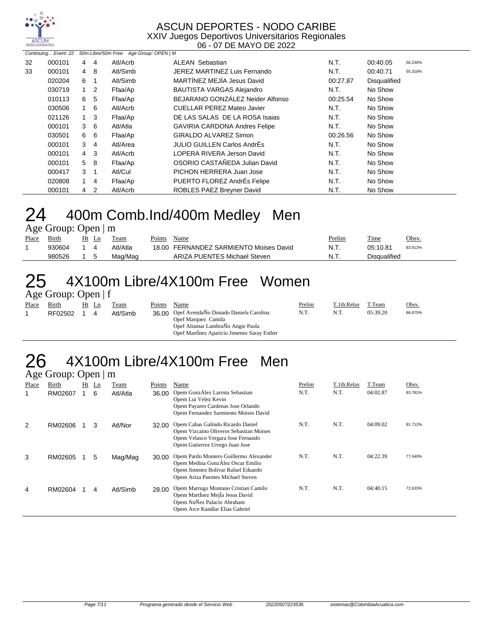

|    | Continuing Event: 22 |                |                | 50m Libre/50m Free Age Group: OPEN   M |                                      |          |              |         |
|----|----------------------|----------------|----------------|----------------------------------------|--------------------------------------|----------|--------------|---------|
| 32 | 000101               | 4 4            |                | Atl/Acrb                               | <b>ALEAN Sebastian</b>               | N.T.     | 00:40.05     | 56.230% |
| 33 | 000101               | $\overline{4}$ | 8              | Atl/Simb                               | JEREZ MARTINEZ Luis Fernando         | N.T.     | 00:40.71     | 55.318% |
|    | 020204               | 6              |                | Atl/Simb                               | MARTÍNEZ MEJÍA Jesus David           | 00:27.87 | Disqualified |         |
|    | 030719               | $1\quad 2$     |                | Ffaa/Ap                                | <b>BAUTISTA VARGAS Alejandro</b>     | N.T.     | No Show      |         |
|    | 010113               | 6              | 5              | Ffaa/Ap                                | BEJARANO GONZÁLEZ Neider Alfonso     | 00:25.54 | No Show      |         |
|    | 030506               | $1\quad 6$     |                | Atl/Acrb                               | <b>CUELLAR PEREZ Mateo Javier</b>    | N.T.     | No Show      |         |
|    | 021126               | $1 \quad 3$    |                | Ffaa/Ap                                | DE LAS SALAS DE LA ROSA Isajas       | N.T.     | No Show      |         |
|    | 000101               | 3              | - 6            | Atl/Atla                               | <b>GAVIRIA CARDONA Andres Felipe</b> | N.T.     | No Show      |         |
|    | 030501               | 6              | - 6            | Ffaa/Ap                                | GIRALDO ALVAREZ Simon                | 00:26.56 | No Show      |         |
|    | 000101               | 3              | $\overline{4}$ | Atl/Area                               | JULIO GUILLEN Carlos AndrÉs          | N.T.     | No Show      |         |
|    | 000101               | 4 3            |                | Atl/Acrb                               | LOPERA RIVERA Jerson David           | N.T.     | No Show      |         |
|    | 000101               | 5              | - 8            | Ffaa/Ap                                | OSORIO CASTAÑEDA Julian David        | N.T.     | No Show      |         |
|    | 000417               | 3              | $\overline{1}$ | Atl/Cul                                | PICHON HERRERA Juan Jose             | N.T.     | No Show      |         |
|    | 020808               | 1              | 4              | Ffaa/Ap                                | PUERTO FLOREZ AndrÉs Felipe          | N.T.     | No Show      |         |
|    | 000101               | 4              | $\overline{2}$ | Atl/Acrb                               | <b>ROBLES PAEZ Brevner David</b>     | N.T.     | No Show      |         |

#### 24 400m Comb.Ind/400m Medley Men Age Group: Open | m

|       | $A\&\cup U \cup \emptyset$ . Opti   III |  |       |          |        |                                        |        |              |         |  |  |  |  |
|-------|-----------------------------------------|--|-------|----------|--------|----------------------------------------|--------|--------------|---------|--|--|--|--|
| Place | Birth                                   |  | Ht Ln | Team     | Points | Name                                   | Prelim | Time         | Obsv.   |  |  |  |  |
|       | 930604                                  |  |       | Atl/Atla |        | 18.00 FERNANDEZ SARMIENTO Moises David | N.T.   | 05:10.81     | 83.913% |  |  |  |  |
|       | 980526                                  |  |       | Mag/Mag  |        | ARIZA PUENTES Michael Steven           | N.T.   | Disqualified |         |  |  |  |  |

#### 25 4X100m Libre/4X100m Free Women Age Group: Open | f

|       | $T_{\rm A}$ $\sim$ Oroup. Open $T_{\rm A}$ |       |          |        |                                                                                                                                                        |               |             |          |              |
|-------|--------------------------------------------|-------|----------|--------|--------------------------------------------------------------------------------------------------------------------------------------------------------|---------------|-------------|----------|--------------|
| Place | Birth                                      | Ht Ln | Team     | Points | Name                                                                                                                                                   | <b>Prelim</b> | T.1th.Relay | T.Team   | <u>Obsv.</u> |
|       | RF02502                                    |       | Atl/Simb |        | 36.00 Opef AvendaÑo Donado Daniela Carolina<br>Opef Marquez Camila<br>Opef Altamar LambraÑo Angie Paola<br>Opef Martinez Aparicio Jimenez Saray Esther | N.T.          | N.T.        | 05:39.20 | 66.675%      |

#### 26 4X100m Libre/4X100m Free Men Age Group: Open | m

|       | $A\&\in$ Oroup. Open $\ $ III |    |                |          |        |                                                                                                                                                         |        |             |          |         |  |  |  |  |
|-------|-------------------------------|----|----------------|----------|--------|---------------------------------------------------------------------------------------------------------------------------------------------------------|--------|-------------|----------|---------|--|--|--|--|
| Place | Birth                         | Ht | $\mathbf{L}$ n | Team     | Points | Name                                                                                                                                                    | Prelim | T.1th.Relay | T.Team   | Obsv.   |  |  |  |  |
|       | RM02607                       |    | -6             | Atl/Atla | 36.00  | Opem GonzÁlez Larrota Sebastian<br>Opem Lui Velez Kevin<br>Opem Payares Cardenas Jose Orlando<br>Opem Fernandez Sarmiento Moises David                  | N.T.   | N.T.        | 04:02.87 | 83.781% |  |  |  |  |
| 2     | RM02606                       |    | 3              | Atl/Nor  | 32.00  | Opem Cabas Galindo Ricardo Daniel<br>Opem Vizcaino Oliveros Sebastian Moises<br>Opem Velasco Vergara Jose Fernando<br>Opem Gutierrez Urrego Juan Jose   | N.T.   | N.T.        | 04:09.02 | 81.712% |  |  |  |  |
| 3     | RM02605                       |    | 5              | Mag/Mag  | 30.00  | Opem Pardo Montero Guillermo Alexander<br>Opem Medina GonzÁlez Oscar Emilio<br>Opem Jimenez Bolivar Rafael Eduardo<br>Opem Ariza Puentes Michael Steven | N.T.   | N.T.        | 04:22.39 | 77.549% |  |  |  |  |
| 4     | RM02604                       |    | 4              | Atl/Simb | 28.00  | Opem Marrugo Montano Cristian Camilo<br>Opem Martinez Mejla Jesus David<br>Opem NuÑez Palacio Abraham<br>Opem Arce Kandlar Elias Gabriel                | N.T.   | N.T.        | 04:40.15 | 72.633% |  |  |  |  |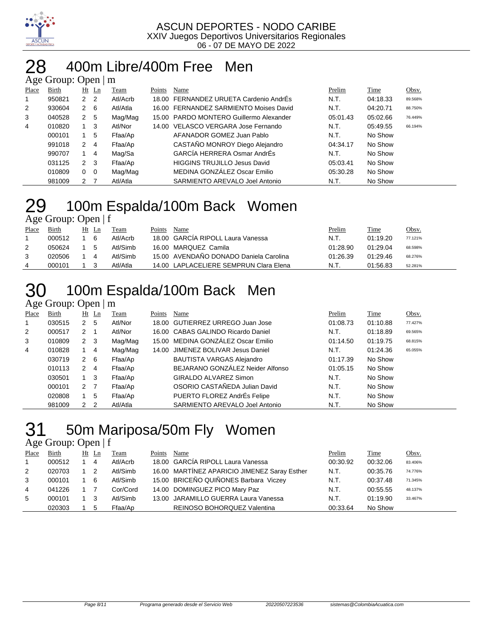

#### 400m Libre/400m Free Men  $\alpha$ up: Open | m

|       | $T_{\rm K}$ UI $U_{\rm H}$ , Up $U_{\rm H}$ $\parallel$ III |                |         |          |        |                                         |          |          |         |  |  |  |  |
|-------|-------------------------------------------------------------|----------------|---------|----------|--------|-----------------------------------------|----------|----------|---------|--|--|--|--|
| Place | Birth                                                       |                | $Ht$ Ln | Team     | Points | Name                                    | Prelim   | Time     | Obsv.   |  |  |  |  |
|       | 950821                                                      | 2 <sub>2</sub> |         | Atl/Acrb |        | 18.00 FERNANDEZ URUETA Cardenio AndrÉs  | N.T.     | 04:18.33 | 89.568% |  |  |  |  |
| 2     | 930604                                                      | 2 6            |         | Atl/Atla |        | 16.00 FERNANDEZ SARMIENTO Moises David  | N.T.     | 04:20.71 | 88.750% |  |  |  |  |
| 3     | 040528                                                      | 2              | -5      | Mag/Mag  |        | 15.00 PARDO MONTERO Guillermo Alexander | 05:01.43 | 05:02.66 | 76.449% |  |  |  |  |
| 4     | 010820                                                      | 1 3            |         | Atl/Nor  |        | 14.00 VELASCO VERGARA Jose Fernando     | N.T.     | 05:49.55 | 66.194% |  |  |  |  |
|       | 000101                                                      |                | -5      | Ffaa/Ap  |        | AFANADOR GOMEZ Juan Pablo               | N.T.     | No Show  |         |  |  |  |  |
|       | 991018                                                      | 2              | 4       | Ffaa/Ap  |        | CASTAÑO MONROY Diego Alejandro          | 04:34.17 | No Show  |         |  |  |  |  |
|       | 990707                                                      |                | -4      | Mag/Sa   |        | GARCÍA HERRERA Osmar AndrÉs             | N.T.     | No Show  |         |  |  |  |  |
|       | 031125                                                      | 2 3            |         | Ffaa/Ap  |        | <b>HIGGINS TRUJILLO Jesus David</b>     | 05:03.41 | No Show  |         |  |  |  |  |
|       | 010809                                                      | 0              | - 0     | Mag/Mag  |        | MEDINA GONZÁLEZ Oscar Emilio            | 05:30.28 | No Show  |         |  |  |  |  |
|       | 981009                                                      | 2 7            |         | Atl/Atla |        | SARMIENTO AREVALO Joel Antonio          | N.T.     | No Show  |         |  |  |  |  |

# 29 100m Espalda/100m Back Women

Age Group: Open | f

| Place | Birth  | Ht | -Ln | Team     | Points | Name                                   | <u>Prelim</u> | <u>Time</u> | Obsv.   |
|-------|--------|----|-----|----------|--------|----------------------------------------|---------------|-------------|---------|
|       | 000512 |    | -6  | Atl/Acrb |        | 18.00 GARCIA RIPOLL Laura Vanessa      | N.T.          | 01:19.20    | 77.121% |
|       | 050624 |    | -5  | Atl/Simb |        | 16.00 MARQUEZ Camila                   | 01:28.90      | 01:29.04    | 68.598% |
|       | 020506 |    |     | Atl/Simb |        | 15.00 AVENDAÑO DONADO Daniela Carolina | 01:26.39      | 01:29.46    | 68.276% |
|       | 000101 |    |     | Atl/Atla |        | 14.00 LAPLACELIERE SEMPRUN Clara Elena | N.T.          | 01.56.83    | 52.281% |

# 100m Espalda/100m Back Men

Age Group: Open | m

| Place          | Birth  |                | $Ht$ Ln | Team     | Points | Name                               | Prelim   | Time     | Obsv.   |
|----------------|--------|----------------|---------|----------|--------|------------------------------------|----------|----------|---------|
| 1              | 030515 | $\overline{2}$ | 5       | Atl/Nor  |        | 18.00 GUTIERREZ URREGO Juan Jose   | 01:08.73 | 01:10.88 | 77.427% |
| 2              | 000517 | $\mathbf{2}$   |         | Atl/Nor  |        | 16.00 CABAS GALINDO Ricardo Daniel | N.T.     | 01:18.89 | 69.565% |
| 3              | 010809 | $2 \quad 3$    |         | Mag/Mag  |        | 15.00 MEDINA GONZÁLEZ Oscar Emilio | 01:14.50 | 01:19.75 | 68.815% |
| $\overline{4}$ | 010828 |                | 4       | Mag/Mag  |        | 14.00 JIMENEZ BOLIVAR Jesus Daniel | N.T.     | 01:24.36 | 65.055% |
|                | 030719 | $\overline{2}$ | - 6     | Ffaa/Ap  |        | <b>BAUTISTA VARGAS Alejandro</b>   | 01:17.39 | No Show  |         |
|                | 010113 | 2              | -4      | Ffaa/Ap  |        | BEJARANO GONZÁLEZ Neider Alfonso   | 01:05.15 | No Show  |         |
|                | 030501 | 1 3            |         | Ffaa/Ap  |        | <b>GIRALDO ALVAREZ Simon</b>       | N.T.     | No Show  |         |
|                | 000101 | 2 <sub>7</sub> |         | Ffaa/Ap  |        | OSORIO CASTAÑEDA Julian David      | N.T.     | No Show  |         |
|                | 020808 |                | 5       | Ffaa/Ap  |        | PUERTO FLOREZ AndrÉs Felipe        | N.T.     | No Show  |         |
|                | 981009 | 2 <sub>2</sub> |         | Atl/Atla |        | SARMIENTO AREVALO Joel Antonio     | N.T.     | No Show  |         |

## 31 50m Mariposa/50m Fly Women

| Place          | Birth  |     | Ht Ln          | Team     | Points | Name                                         | Prelim   | Time     | Obsv.   |
|----------------|--------|-----|----------------|----------|--------|----------------------------------------------|----------|----------|---------|
| $\overline{1}$ | 000512 |     | $\overline{4}$ | Atl/Acrb |        | 18.00 GARCÍA RIPOLL Laura Vanessa            | 00:30.92 | 00:32.06 | 83.406% |
| 2              | 020703 |     | $\overline{2}$ | Atl/Simb |        | 16.00 MARTÍNEZ APARICIO JIMENEZ Saray Esther | N.T.     | 00:35.76 | 74.776% |
| 3              | 000101 | 1 6 |                | Atl/Simb |        | 15.00 BRICEÑO QUIÑONES Barbara Viczey        | N.T.     | 00:37.48 | 71.345% |
| $\overline{4}$ | 041226 |     |                | Cor/Cord |        | 14.00 DOMINGUEZ PICO Mary Paz                | N.T.     | 00:55.55 | 48.137% |
| -5             | 000101 | 1 3 |                | Atl/Simb |        | 13.00 JARAMILLO GUERRA Laura Vanessa         | N.T.     | 01:19.90 | 33.467% |
|                | 020303 |     | -5             | Ffaa/Ap  |        | REINOSO BOHORQUEZ Valentina                  | 00:33.64 | No Show  |         |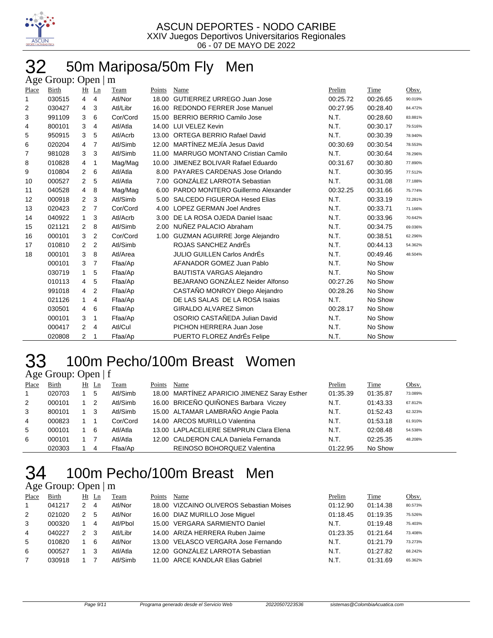

## 32 50m Mariposa/50m Fly Men

|                | Age Group: Open $\mid$ m |                |                |          |        |                                        |          |          |         |  |  |  |  |
|----------------|--------------------------|----------------|----------------|----------|--------|----------------------------------------|----------|----------|---------|--|--|--|--|
| Place          | Birth                    |                | Ht Ln          | Team     | Points | Name                                   | Prelim   | Time     | Obsv.   |  |  |  |  |
| 1              | 030515                   | 4              | $\overline{4}$ | Atl/Nor  | 18.00  | GUTIERREZ URREGO Juan Jose             | 00:25.72 | 00:26.65 | 90.019% |  |  |  |  |
| 2              | 030427                   | 4              | 3              | Atl/Libr |        | 16.00 REDONDO FERRER Jose Manuel       | 00:27.95 | 00:28.40 | 84.472% |  |  |  |  |
| 3              | 991109                   | 3              | 6              | Cor/Cord | 15.00  | BERRIO BERRIO Camilo Jose              | N.T.     | 00:28.60 | 83.881% |  |  |  |  |
| 4              | 800101                   | 3              | 4              | Atl/Atla |        | 14.00 LUI VELEZ Kevin                  | N.T.     | 00:30.17 | 79.516% |  |  |  |  |
| 5              | 950915                   | 3              | 5              | Atl/Acrb |        | 13.00 ORTEGA BERRIO Rafael David       | N.T.     | 00:30.39 | 78.940% |  |  |  |  |
| 6              | 020204                   | 4              | $\overline{7}$ | Atl/Simb |        | 12.00 MARTÍNEZ MEJÍA Jesus David       | 00:30.69 | 00:30.54 | 78.553% |  |  |  |  |
| $\overline{7}$ | 981028                   | 3              | 3              | Atl/Simb | 11.00  | MARRUGO MONTANO Cristian Camilo        | N.T.     | 00:30.64 | 78.296% |  |  |  |  |
| 8              | 010828                   | 4              | 1              | Mag/Mag  | 10.00  | JIMENEZ BOLIVAR Rafael Eduardo         | 00:31.67 | 00:30.80 | 77.890% |  |  |  |  |
| 9              | 010804                   | $\overline{2}$ | 6              | Atl/Atla |        | 8.00 PAYARES CARDENAS Jose Orlando     | N.T.     | 00:30.95 | 77.512% |  |  |  |  |
| 10             | 000527                   | $\overline{2}$ | 5              | Atl/Atla | 7.00   | <b>GONZÁLEZ LARROTA Sebastian</b>      | N.T.     | 00:31.08 | 77.188% |  |  |  |  |
| 11             | 040528                   | 4              | 8              | Mag/Mag  |        | 6.00 PARDO MONTERO Guillermo Alexander | 00:32.25 | 00:31.66 | 75.774% |  |  |  |  |
| 12             | 000918                   | $\overline{2}$ | 3              | Atl/Simb |        | 5.00 SALCEDO FIGUEROA Hesed Elias      | N.T.     | 00:33.19 | 72.281% |  |  |  |  |
| 13             | 020423                   | $\overline{2}$ | $\overline{7}$ | Cor/Cord |        | 4.00 LOPEZ GERMAN Joel Andres          | N.T.     | 00:33.71 | 71.166% |  |  |  |  |
| 14             | 040922                   | 1              | 3              | Atl/Acrb | 3.00   | DE LA ROSA OJEDA Daniel Isaac          | N.T.     | 00:33.96 | 70.642% |  |  |  |  |
| 15             | 021121                   | 2              | 8              | Atl/Simb |        | 2.00 NUÑEZ PALACIO Abraham             | N.T.     | 00:34.75 | 69.036% |  |  |  |  |
| 16             | 000101                   | 3              | $\overline{2}$ | Cor/Cord |        | 1.00 GUZMAN AGUIRRE Jorge Alejandro    | N.T.     | 00:38.51 | 62.296% |  |  |  |  |
| 17             | 010810                   | 2              | 2              | Atl/Simb |        | ROJAS SANCHEZ AndrÉs                   | N.T.     | 00:44.13 | 54.362% |  |  |  |  |
| 18             | 000101                   | 3              | 8              | Atl/Area |        | JULIO GUILLEN Carlos AndrÉs            | N.T.     | 00:49.46 | 48.504% |  |  |  |  |
|                | 000101                   | 3              | $\overline{7}$ | Ffaa/Ap  |        | AFANADOR GOMEZ Juan Pablo              | N.T.     | No Show  |         |  |  |  |  |
|                | 030719                   | 1              | 5              | Ffaa/Ap  |        | <b>BAUTISTA VARGAS Alejandro</b>       | N.T.     | No Show  |         |  |  |  |  |
|                | 010113                   | 4              | 5              | Ffaa/Ap  |        | BEJARANO GONZÁLEZ Neider Alfonso       | 00:27.26 | No Show  |         |  |  |  |  |
|                | 991018                   | 4              | $\overline{2}$ | Ffaa/Ap  |        | CASTAÑO MONROY Diego Alejandro         | 00:28.26 | No Show  |         |  |  |  |  |
|                | 021126                   | 1              | 4              | Ffaa/Ap  |        | DE LAS SALAS DE LA ROSA Isaias         | N.T.     | No Show  |         |  |  |  |  |
|                | 030501                   | 4              | 6              | Ffaa/Ap  |        | <b>GIRALDO ALVAREZ Simon</b>           | 00:28.17 | No Show  |         |  |  |  |  |
|                | 000101                   | 3              | $\mathbf{1}$   | Ffaa/Ap  |        | OSORIO CASTAÑEDA Julian David          | N.T.     | No Show  |         |  |  |  |  |
|                | 000417                   | 2              | 4              | Atl/Cul  |        | PICHON HERRERA Juan Jose               | N.T.     | No Show  |         |  |  |  |  |
|                | 020808                   | $\overline{2}$ | 1              | Ffaa/Ap  |        | PUERTO FLOREZ AndrÉs Felipe            | N.T.     | No Show  |         |  |  |  |  |

# 100m Pecho/100m Breast Women

| Age Group: Open   f |  |
|---------------------|--|
|                     |  |

| Place          | Birth  |             | Ht Ln          | Team     | Points | Name                                         | Prelim   | Time     | Obsv.   |
|----------------|--------|-------------|----------------|----------|--------|----------------------------------------------|----------|----------|---------|
| $\overline{1}$ | 020703 |             | 5              | Atl/Simb |        | 18.00 MARTÍNEZ APARICIO JIMENEZ Saray Esther | 01:35.39 | 01:35.87 | 73.089% |
| 2              | 000101 |             | $\overline{2}$ | Atl/Simb |        | 16.00 BRICEÑO QUIÑONES Barbara Viczey        | N.T.     | 01:43.33 | 67.812% |
| 3              | 800101 | $1 \quad 3$ |                | Atl/Simb |        | 15.00 ALTAMAR LAMBRAÑO Angie Paola           | N.T.     | 01:52.43 | 62.323% |
| 4              | 000823 |             |                | Cor/Cord |        | 14.00 ARCOS MURILLO Valentina                | N.T.     | 01:53.18 | 61.910% |
| 5              | 000101 |             | - 6            | Atl/Atla |        | 13.00 LAPLACELIERE SEMPRUN Clara Elena       | N.T.     | 02:08.48 | 54.538% |
| 6              | 000101 |             |                | Atl/Atla |        | 12.00 CALDERON CALA Daniela Fernanda         | N.T.     | 02:25.35 | 48.208% |
|                | 020303 |             | 4              | Ffaa/Ap  |        | REINOSO BOHORQUEZ Valentina                  | 01:22.95 | No Show  |         |

## 100m Pecho/100m Breast Men

| Place | Birth  |               | $Ht$ Ln | Team     | Points | Name                                     | Prelim   | Time     | Obsv.   |
|-------|--------|---------------|---------|----------|--------|------------------------------------------|----------|----------|---------|
|       | 041217 | 2             | 4       | Atl/Nor  |        | 18.00 VIZCAINO OLIVEROS Sebastian Moises | 01:12.90 | 01:14.38 | 80.573% |
| 2     | 021020 | $\mathcal{P}$ | 5       | Atl/Nor  |        | 16.00 DIAZ MURILLO Jose Miquel           | 01:18.45 | 01:19.35 | 75.526% |
| 3     | 000320 |               | 4       | Atl/Pbol |        | 15.00 VERGARA SARMIENTO Daniel           | N.T.     | 01:19.48 | 75.403% |
| 4     | 040227 | $\mathcal{P}$ | -3      | Atl/Libr |        | 14.00 ARIZA HERRERA Ruben Jaime          | 01:23.35 | 01:21.64 | 73.408% |
| -5    | 010820 |               | 6       | Atl/Nor  |        | 13.00 VELASCO VERGARA Jose Fernando      | N.T.     | 01:21.79 | 73.273% |
| 6     | 000527 |               |         | Atl/Atla |        | 12.00 GONZÁLEZ LARROTA Sebastian         | N.T.     | 01:27.82 | 68.242% |
|       | 030918 |               |         | Atl/Simb |        | 11.00 ARCE KANDLAR Elias Gabriel         | N.T.     | 01:31.69 | 65.362% |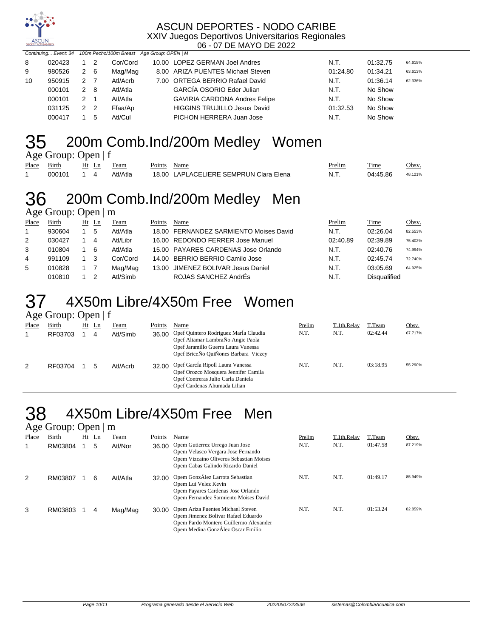

#### ASCUN DEPORTES - NODO CARIBE XXIV Juegos Deportivos Universitarios Regionales

06 - 07 DE MAYO DE 2022

|    |        |               |    | Continuing Event: 34 100m Pecho/100m Breast Age Group: OPEN   M |                                      |          |          |         |
|----|--------|---------------|----|-----------------------------------------------------------------|--------------------------------------|----------|----------|---------|
| 8  | 020423 |               | 2  | Cor/Cord                                                        | 10.00 LOPEZ GERMAN Joel Andres       | N.T.     | 01:32.75 | 64.615% |
| 9  | 980526 | 2 6           |    | Mag/Mag                                                         | 8.00 ARIZA PUENTES Michael Steven    | 01:24.80 | 01:34.21 | 63.613% |
| 10 | 950915 | $\mathcal{P}$ |    | Atl/Acrb                                                        | 7.00 ORTEGA BERRIO Rafael David      | N.T.     | 01:36.14 | 62.336% |
|    | 000101 | 2             | -8 | Atl/Atla                                                        | <b>GARCÍA OSORIO Eder Julian</b>     | N.T.     | No Show  |         |
|    | 000101 | 2             |    | Atl/Atla                                                        | <b>GAVIRIA CARDONA Andres Felipe</b> | N.T.     | No Show  |         |
|    | 031125 | 2 2           |    | Ffaa/Ap                                                         | <b>HIGGINS TRUJILLO Jesus David</b>  | 01:32.53 | No Show  |         |
|    | 000417 |               | 5  | Atl/Cul                                                         | PICHON HERRERA Juan Jose             | N.T.     | No Show  |         |

### 35 200m Comb.Ind/200m Medley Women

|             | Age Group: Open $ f $ |       |      |             |  |
|-------------|-----------------------|-------|------|-------------|--|
| Place Birth |                       | Ht Ln | Team | Points Name |  |

| Place | __<br>вırtn | __<br>Ht<br>$\sim$ | Ln | eam   | 'oınt | Name                                        | <sup>D</sup> relim | ---<br>l'ime | Obsv. |
|-------|-------------|--------------------|----|-------|-------|---------------------------------------------|--------------------|--------------|-------|
|       |             |                    |    | 'Atla | .8.00 | FMPRI IN<br>Elena<br>∴ا ⊂ا'<br>$\mathbf{A}$ | NI<br>.            | ີ ຂຂ         | .1219 |

#### 36 200m Comb.Ind/200m Medley Men Age Group: Open | m

| Place | Birth  | Ht Ln | Team     | Points | Name                                   | Prelim   | Time                | Obsv.   |
|-------|--------|-------|----------|--------|----------------------------------------|----------|---------------------|---------|
|       | 930604 | 5     | Atl/Atla |        | 18.00 FERNANDEZ SARMIENTO Moises David | N.T.     | 02:26.04            | 82.553% |
| 2     | 030427 | 4     | Atl/Libr |        | 16.00 REDONDO FERRER Jose Manuel       | 02:40.89 | 02:39.89            | 75.402% |
| 3     | 010804 | -6    | Atl/Atla |        | 15.00 PAYARES CARDENAS Jose Orlando    | N.T.     | 02:40.76            | 74.994% |
| 4     | 991109 |       | Cor/Cord |        | 14.00 BERRIO BERRIO Camilo Jose        | N.T.     | 02:45.74            | 72.740% |
| 5     | 010828 |       | Mag/Mag  |        | 13.00 JIMENEZ BOLIVAR Jesus Daniel     | N.T.     | 03:05.69            | 64.925% |
|       | 010810 |       | Atl/Simb |        | ROJAS SANCHEZ AndrÉs                   | N.T.     | <b>Disqualified</b> |         |

## 37 4X50m Libre/4X50m Free Women

Age Group: Open | f

| ັ<br>Place | Birth<br>RF03703 | Ht | Ln<br>4 | Team<br>Atl/Simb | Points<br>36.00 | Name<br>Opef Quintero Rodriguez Marla Claudia<br>Opef Altamar LambraÑo Angie Paola<br>Opef Jaramillo Guerra Laura Vanessa<br>Opef BriceNo QuiÑones Barbara Viczey | Prelim<br>N.T. | T.1th.Relay<br>N.T. | T.Team<br>02:42.44 | Obsv.<br>67.717% |
|------------|------------------|----|---------|------------------|-----------------|-------------------------------------------------------------------------------------------------------------------------------------------------------------------|----------------|---------------------|--------------------|------------------|
| 2          | RF03704          |    | 5       | Atl/Acrb         | 32.00           | Opef García Ripoll Laura Vanessa<br>Opef Orozco Mosquera Jennifer Camila<br>Opef Contreras Julio Carla Daniela<br>Opef Cardenas Ahumada Lilian                    | N.T.           | N.T.                | 03:18.95           | 55.290%          |

#### 4X50m Libre/4X50m Free Men Age Group: Open | m

|       | $1.45$ $\sigma$ $\sigma$ $\mu$ $\sigma$ $\sigma$ $\mu$ $\sigma$ $\mu$ |    |                |          |        |                                                                                                                                                         |        |             |          |         |
|-------|-----------------------------------------------------------------------|----|----------------|----------|--------|---------------------------------------------------------------------------------------------------------------------------------------------------------|--------|-------------|----------|---------|
| Place | Birth                                                                 | Ht | $\mathbf{L}$ n | Team     | Points | Name                                                                                                                                                    | Prelim | T.1th.Relay | T.Team   | Obsv.   |
|       | RM03804                                                               |    | 5              | Atl/Nor  | 36.00  | Opem Gutierrez Urrego Juan Jose<br>Opem Velasco Vergara Jose Fernando<br>Opem Vizcaino Oliveros Sebastian Moises<br>Opem Cabas Galindo Ricardo Daniel   | N.T.   | N.T.        | 01:47.58 | 87.219% |
| 2     | RM03807                                                               |    | 6              | Atl/Atla | 32.00  | Opem GonzÁlez Larrota Sebastian<br>Opem Lui Velez Kevin<br>Opem Payares Cardenas Jose Orlando<br>Opem Fernandez Sarmiento Moises David                  | N.T.   | N.T.        | 01:49.17 | 85.949% |
| 3     | RM03803                                                               |    | 4              | Mag/Mag  | 30.00  | Opem Ariza Puentes Michael Steven<br>Opem Jimenez Bolivar Rafael Eduardo<br>Opem Pardo Montero Guillermo Alexander<br>Opem Medina GonzÁlez Oscar Emilio | N.T.   | N.T.        | 01:53.24 | 82.859% |